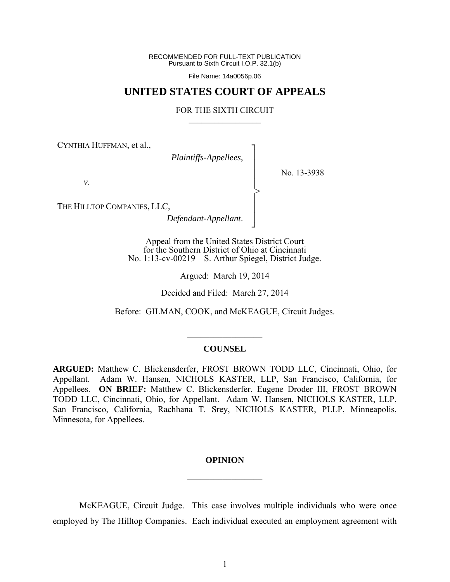RECOMMENDED FOR FULL-TEXT PUBLICATION Pursuant to Sixth Circuit I.O.P. 32.1(b)

File Name: 14a0056p.06

# **UNITED STATES COURT OF APPEALS**

### FOR THE SIXTH CIRCUIT  $\mathcal{L}_\text{max}$

┐ │ │ │ │ │ │ │ ┘

>

CYNTHIA HUFFMAN, et al.,

*Plaintiffs-Appellees*,

No. 13-3938

*v*.

THE HILLTOP COMPANIES, LLC,

*Defendant-Appellant*.

Appeal from the United States District Court for the Southern District of Ohio at Cincinnati No. 1:13-cv-00219—S. Arthur Spiegel, District Judge.

Argued: March 19, 2014

Decided and Filed: March 27, 2014

Before: GILMAN, COOK, and McKEAGUE, Circuit Judges.

## **COUNSEL**

 $\frac{1}{2}$ 

**ARGUED:** Matthew C. Blickensderfer, FROST BROWN TODD LLC, Cincinnati, Ohio, for Appellant. Adam W. Hansen, NICHOLS KASTER, LLP, San Francisco, California, for Appellees. **ON BRIEF:** Matthew C. Blickensderfer, Eugene Droder III, FROST BROWN TODD LLC, Cincinnati, Ohio, for Appellant. Adam W. Hansen, NICHOLS KASTER, LLP, San Francisco, California, Rachhana T. Srey, NICHOLS KASTER, PLLP, Minneapolis, Minnesota, for Appellees.

### **OPINION**

 $\frac{1}{2}$ 

 $\frac{1}{2}$ 

 McKEAGUE, Circuit Judge. This case involves multiple individuals who were once employed by The Hilltop Companies. Each individual executed an employment agreement with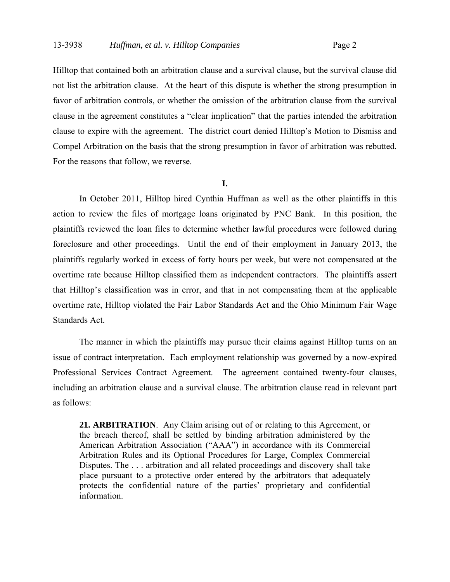Hilltop that contained both an arbitration clause and a survival clause, but the survival clause did not list the arbitration clause. At the heart of this dispute is whether the strong presumption in favor of arbitration controls, or whether the omission of the arbitration clause from the survival clause in the agreement constitutes a "clear implication" that the parties intended the arbitration clause to expire with the agreement. The district court denied Hilltop's Motion to Dismiss and Compel Arbitration on the basis that the strong presumption in favor of arbitration was rebutted. For the reasons that follow, we reverse.

### **I.**

 In October 2011, Hilltop hired Cynthia Huffman as well as the other plaintiffs in this action to review the files of mortgage loans originated by PNC Bank. In this position, the plaintiffs reviewed the loan files to determine whether lawful procedures were followed during foreclosure and other proceedings. Until the end of their employment in January 2013, the plaintiffs regularly worked in excess of forty hours per week, but were not compensated at the overtime rate because Hilltop classified them as independent contractors. The plaintiffs assert that Hilltop's classification was in error, and that in not compensating them at the applicable overtime rate, Hilltop violated the Fair Labor Standards Act and the Ohio Minimum Fair Wage Standards Act.

The manner in which the plaintiffs may pursue their claims against Hilltop turns on an issue of contract interpretation. Each employment relationship was governed by a now-expired Professional Services Contract Agreement. The agreement contained twenty-four clauses, including an arbitration clause and a survival clause. The arbitration clause read in relevant part as follows:

**21. ARBITRATION**. Any Claim arising out of or relating to this Agreement, or the breach thereof, shall be settled by binding arbitration administered by the American Arbitration Association ("AAA") in accordance with its Commercial Arbitration Rules and its Optional Procedures for Large, Complex Commercial Disputes. The . . . arbitration and all related proceedings and discovery shall take place pursuant to a protective order entered by the arbitrators that adequately protects the confidential nature of the parties' proprietary and confidential information.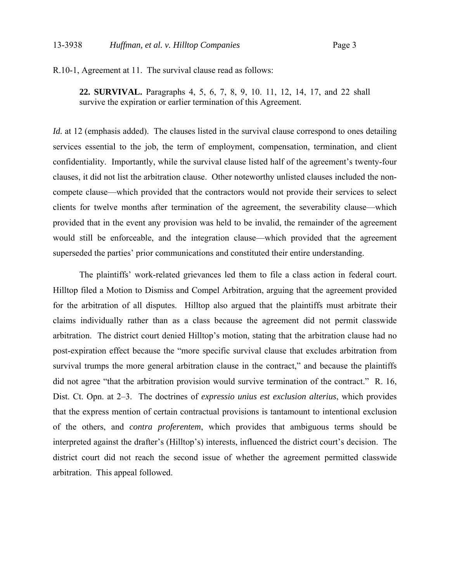R.10-1, Agreement at 11. The survival clause read as follows:

**22. SURVIVAL.** Paragraphs 4, 5, 6, 7, 8, 9, 10. 11, 12, 14, 17, and 22 shall survive the expiration or earlier termination of this Agreement.

*Id.* at 12 (emphasis added). The clauses listed in the survival clause correspond to ones detailing services essential to the job, the term of employment, compensation, termination, and client confidentiality. Importantly, while the survival clause listed half of the agreement's twenty-four clauses, it did not list the arbitration clause. Other noteworthy unlisted clauses included the noncompete clause—which provided that the contractors would not provide their services to select clients for twelve months after termination of the agreement, the severability clause—which provided that in the event any provision was held to be invalid, the remainder of the agreement would still be enforceable, and the integration clause—which provided that the agreement superseded the parties' prior communications and constituted their entire understanding.

The plaintiffs' work-related grievances led them to file a class action in federal court. Hilltop filed a Motion to Dismiss and Compel Arbitration, arguing that the agreement provided for the arbitration of all disputes. Hilltop also argued that the plaintiffs must arbitrate their claims individually rather than as a class because the agreement did not permit classwide arbitration. The district court denied Hilltop's motion, stating that the arbitration clause had no post-expiration effect because the "more specific survival clause that excludes arbitration from survival trumps the more general arbitration clause in the contract," and because the plaintiffs did not agree "that the arbitration provision would survive termination of the contract." R. 16, Dist. Ct. Opn. at 2–3. The doctrines of *expressio unius est exclusion alterius*, which provides that the express mention of certain contractual provisions is tantamount to intentional exclusion of the others, and *contra proferentem*, which provides that ambiguous terms should be interpreted against the drafter's (Hilltop's) interests, influenced the district court's decision. The district court did not reach the second issue of whether the agreement permitted classwide arbitration. This appeal followed.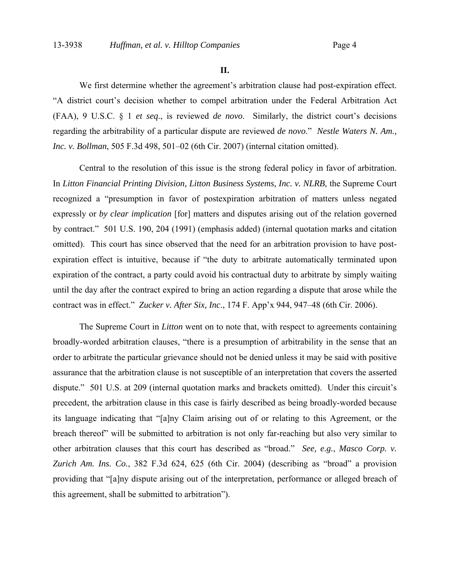**II.**

We first determine whether the agreement's arbitration clause had post-expiration effect. "A district court's decision whether to compel arbitration under the Federal Arbitration Act (FAA), 9 U.S.C. § 1 *et seq*., is reviewed *de novo*. Similarly, the district court's decisions regarding the arbitrability of a particular dispute are reviewed *de novo*." *Nestle Waters N. Am., Inc. v. Bollman*, 505 F.3d 498, 501–02 (6th Cir. 2007) (internal citation omitted).

Central to the resolution of this issue is the strong federal policy in favor of arbitration. In *Litton Financial Printing Division, Litton Business Systems, Inc. v. NLRB*, the Supreme Court recognized a "presumption in favor of postexpiration arbitration of matters unless negated expressly or *by clear implication* [for] matters and disputes arising out of the relation governed by contract." 501 U.S. 190, 204 (1991) (emphasis added) (internal quotation marks and citation omitted). This court has since observed that the need for an arbitration provision to have postexpiration effect is intuitive, because if "the duty to arbitrate automatically terminated upon expiration of the contract, a party could avoid his contractual duty to arbitrate by simply waiting until the day after the contract expired to bring an action regarding a dispute that arose while the contract was in effect." *Zucker v. After Six, Inc*., 174 F. App'x 944, 947–48 (6th Cir. 2006).

The Supreme Court in *Litton* went on to note that, with respect to agreements containing broadly-worded arbitration clauses, "there is a presumption of arbitrability in the sense that an order to arbitrate the particular grievance should not be denied unless it may be said with positive assurance that the arbitration clause is not susceptible of an interpretation that covers the asserted dispute." 501 U.S. at 209 (internal quotation marks and brackets omitted). Under this circuit's precedent, the arbitration clause in this case is fairly described as being broadly-worded because its language indicating that "[a]ny Claim arising out of or relating to this Agreement, or the breach thereof" will be submitted to arbitration is not only far-reaching but also very similar to other arbitration clauses that this court has described as "broad." *See, e.g.*, *Masco Corp. v. Zurich Am. Ins. Co.*, 382 F.3d 624, 625 (6th Cir. 2004) (describing as "broad" a provision providing that "[a]ny dispute arising out of the interpretation, performance or alleged breach of this agreement, shall be submitted to arbitration").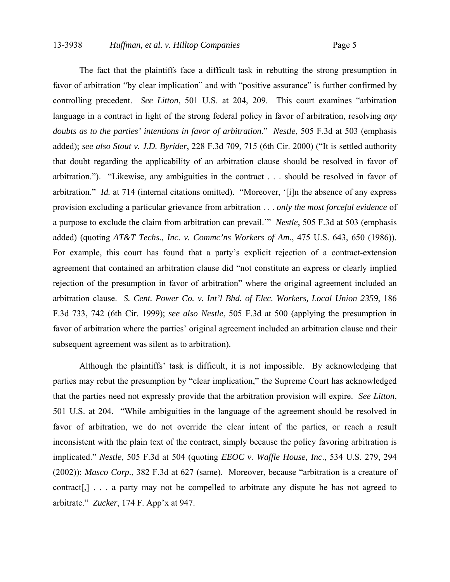The fact that the plaintiffs face a difficult task in rebutting the strong presumption in favor of arbitration "by clear implication" and with "positive assurance" is further confirmed by controlling precedent. *See Litton*, 501 U.S. at 204, 209. This court examines "arbitration language in a contract in light of the strong federal policy in favor of arbitration, resolving *any doubts as to the parties' intentions in favor of arbitration*." *Nestle*, 505 F.3d at 503 (emphasis added); *see also Stout v. J.D. Byrider*, 228 F.3d 709, 715 (6th Cir. 2000) ("It is settled authority that doubt regarding the applicability of an arbitration clause should be resolved in favor of arbitration."). "Likewise, any ambiguities in the contract . . . should be resolved in favor of arbitration." *Id.* at 714 (internal citations omitted). "Moreover, '[i]n the absence of any express provision excluding a particular grievance from arbitration . . . *only the most forceful evidence* of a purpose to exclude the claim from arbitration can prevail.'" *Nestle*, 505 F.3d at 503 (emphasis added) (quoting *AT&T Techs., Inc. v. Commc'ns Workers of Am*., 475 U.S. 643, 650 (1986)). For example, this court has found that a party's explicit rejection of a contract-extension agreement that contained an arbitration clause did "not constitute an express or clearly implied rejection of the presumption in favor of arbitration" where the original agreement included an arbitration clause. *S. Cent. Power Co. v. Int'l Bhd. of Elec. Workers, Local Union 2359*, 186 F.3d 733, 742 (6th Cir. 1999); *see also Nestle*, 505 F.3d at 500 (applying the presumption in favor of arbitration where the parties' original agreement included an arbitration clause and their subsequent agreement was silent as to arbitration).

Although the plaintiffs' task is difficult, it is not impossible. By acknowledging that parties may rebut the presumption by "clear implication," the Supreme Court has acknowledged that the parties need not expressly provide that the arbitration provision will expire. *See Litton*, 501 U.S. at 204. "While ambiguities in the language of the agreement should be resolved in favor of arbitration, we do not override the clear intent of the parties, or reach a result inconsistent with the plain text of the contract, simply because the policy favoring arbitration is implicated." *Nestle*, 505 F.3d at 504 (quoting *EEOC v. Waffle House, Inc*., 534 U.S. 279, 294 (2002)); *Masco Corp*., 382 F.3d at 627 (same). Moreover, because "arbitration is a creature of contract[,] . . . a party may not be compelled to arbitrate any dispute he has not agreed to arbitrate." *Zucker*, 174 F. App'x at 947.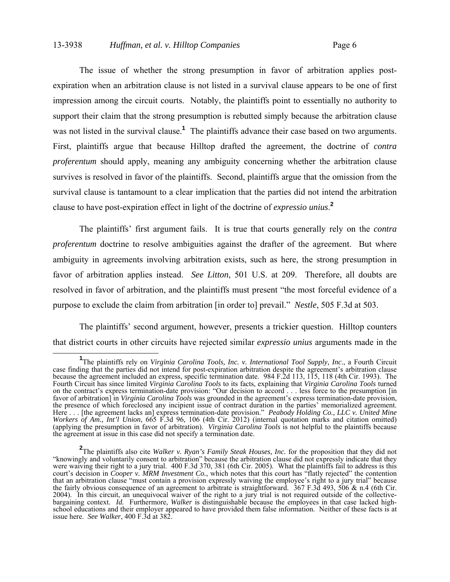# 13-3938 *Huffman, et al. v. Hilltop Companies* Page 6

 The issue of whether the strong presumption in favor of arbitration applies postexpiration when an arbitration clause is not listed in a survival clause appears to be one of first impression among the circuit courts. Notably, the plaintiffs point to essentially no authority to support their claim that the strong presumption is rebutted simply because the arbitration clause was not listed in the survival clause.<sup>1</sup> The plaintiffs advance their case based on two arguments. First, plaintiffs argue that because Hilltop drafted the agreement, the doctrine of *contra proferentum* should apply, meaning any ambiguity concerning whether the arbitration clause survives is resolved in favor of the plaintiffs. Second, plaintiffs argue that the omission from the survival clause is tantamount to a clear implication that the parties did not intend the arbitration clause to have post-expiration effect in light of the doctrine of *expressio unius*. **2**

 The plaintiffs' first argument fails. It is true that courts generally rely on the *contra proferentum* doctrine to resolve ambiguities against the drafter of the agreement. But where ambiguity in agreements involving arbitration exists, such as here, the strong presumption in favor of arbitration applies instead. *See Litton*, 501 U.S. at 209. Therefore, all doubts are resolved in favor of arbitration, and the plaintiffs must present "the most forceful evidence of a purpose to exclude the claim from arbitration [in order to] prevail." *Nestle*, 505 F.3d at 503.

The plaintiffs' second argument, however, presents a trickier question. Hilltop counters that district courts in other circuits have rejected similar *expressio unius* arguments made in the

**<sup>1</sup>** <sup>1</sup>The plaintiffs rely on *Virginia Carolina Tools, Inc. v. International Tool Supply, Inc.*, a Fourth Circuit case finding that the parties did not intend for post-expiration arbitration despite the agreement's arbitration clause because the agreement included an express, specific termination date. 984 F.2d 113, 115, 118 (4th Cir. 1993). The Fourth Circuit has since limited *Virginia Carolina Tools* to its facts, explaining that *Virginia Carolina Tools* turned on the contract's express termination-date provision: "Our decision to accord . . . less force to the presumption [in favor of arbitration] in *Virginia Carolina Tools* was grounded in the agreement's express termination-date provision, the presence of which foreclosed any incipient issue of contract duration in the parties' memorialized agreement. Here . . . [the agreement lacks an] express termination-date provision." *Peabody Holding Co., LLC v. United Mine Workers of Am., Int'l Union*, 665 F.3d 96, 106 (4th Cir. 2012) (internal quotation marks and citation omitted) (applying the presumption in favor of arbitration). *Virginia Carolina Tools* is not helpful to the plaintiffs because the agreement at issue in this case did not specify a termination date.

**<sup>2</sup>** The plaintiffs also cite *Walker v. Ryan's Family Steak Houses, Inc.* for the proposition that they did not "knowingly and voluntarily consent to arbitration" because the arbitration clause did not expressly indicate that they were waiving their right to a jury trial. 400 F.3d 370, 381 (6th Cir. 2005). What the plaintiffs fail to address is this court's decision in *Cooper v. MRM Investment Co.*, which notes that this court has "flatly rejected" the contention that an arbitration clause "must contain a provision expressly waiving the employee's right to a jury trial" because the fairly obvious consequence of an agreement to arbitrate is straightforward. 367 F.3d 493, 506 & n.4 (6th Cir. 2004). In this circuit, an unequivocal waiver of the right to a jury trial is not required outside of the collectivebargaining context. *Id.* Furthermore, *Walker* is distinguishable because the employees in that case lacked highschool educations and their employer appeared to have provided them false information. Neither of these facts is at issue here. *See Walker*, 400 F.3d at 382.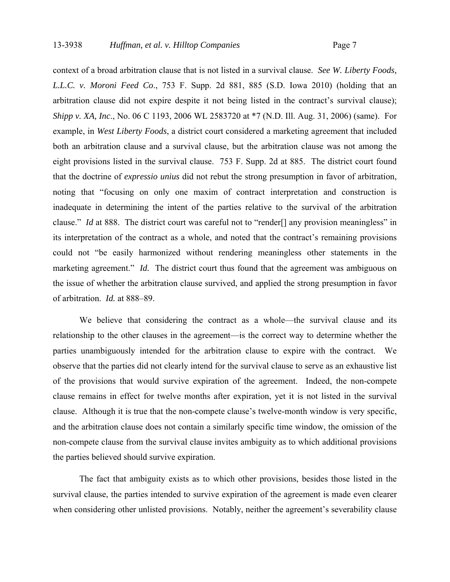context of a broad arbitration clause that is not listed in a survival clause. *See W. Liberty Foods, L.L.C. v. Moroni Feed Co*., 753 F. Supp. 2d 881, 885 (S.D. Iowa 2010) (holding that an arbitration clause did not expire despite it not being listed in the contract's survival clause); *Shipp v. XA, Inc*., No. 06 C 1193, 2006 WL 2583720 at \*7 (N.D. Ill. Aug. 31, 2006) (same). For example, in *West Liberty Foods*, a district court considered a marketing agreement that included both an arbitration clause and a survival clause, but the arbitration clause was not among the eight provisions listed in the survival clause. 753 F. Supp. 2d at 885. The district court found that the doctrine of *expressio unius* did not rebut the strong presumption in favor of arbitration, noting that "focusing on only one maxim of contract interpretation and construction is inadequate in determining the intent of the parties relative to the survival of the arbitration clause." *Id* at 888. The district court was careful not to "render<sup>[]</sup> any provision meaningless" in its interpretation of the contract as a whole, and noted that the contract's remaining provisions could not "be easily harmonized without rendering meaningless other statements in the marketing agreement." *Id.* The district court thus found that the agreement was ambiguous on the issue of whether the arbitration clause survived, and applied the strong presumption in favor of arbitration. *Id.* at 888–89.

 We believe that considering the contract as a whole—the survival clause and its relationship to the other clauses in the agreement—is the correct way to determine whether the parties unambiguously intended for the arbitration clause to expire with the contract. We observe that the parties did not clearly intend for the survival clause to serve as an exhaustive list of the provisions that would survive expiration of the agreement. Indeed, the non-compete clause remains in effect for twelve months after expiration, yet it is not listed in the survival clause. Although it is true that the non-compete clause's twelve-month window is very specific, and the arbitration clause does not contain a similarly specific time window, the omission of the non-compete clause from the survival clause invites ambiguity as to which additional provisions the parties believed should survive expiration.

 The fact that ambiguity exists as to which other provisions, besides those listed in the survival clause, the parties intended to survive expiration of the agreement is made even clearer when considering other unlisted provisions. Notably, neither the agreement's severability clause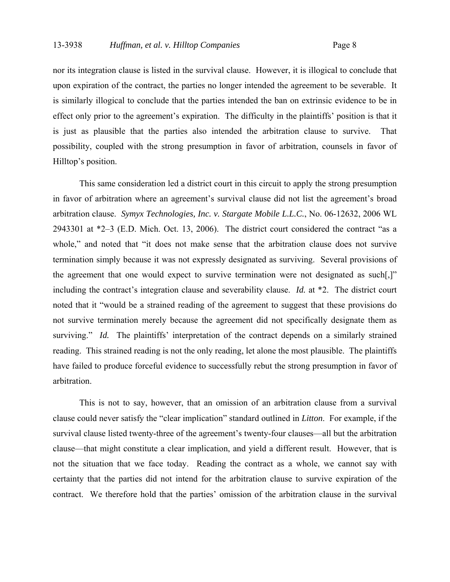nor its integration clause is listed in the survival clause. However, it is illogical to conclude that upon expiration of the contract, the parties no longer intended the agreement to be severable. It is similarly illogical to conclude that the parties intended the ban on extrinsic evidence to be in effect only prior to the agreement's expiration. The difficulty in the plaintiffs' position is that it is just as plausible that the parties also intended the arbitration clause to survive. That possibility, coupled with the strong presumption in favor of arbitration, counsels in favor of Hilltop's position.

This same consideration led a district court in this circuit to apply the strong presumption in favor of arbitration where an agreement's survival clause did not list the agreement's broad arbitration clause. *Symyx Technologies, Inc. v. Stargate Mobile L.L.C.*, No. 06-12632, 2006 WL 2943301 at \*2–3 (E.D. Mich. Oct. 13, 2006). The district court considered the contract "as a whole," and noted that "it does not make sense that the arbitration clause does not survive termination simply because it was not expressly designated as surviving. Several provisions of the agreement that one would expect to survive termination were not designated as such[,]" including the contract's integration clause and severability clause. *Id.* at \*2. The district court noted that it "would be a strained reading of the agreement to suggest that these provisions do not survive termination merely because the agreement did not specifically designate them as surviving." *Id.* The plaintiffs' interpretation of the contract depends on a similarly strained reading. This strained reading is not the only reading, let alone the most plausible. The plaintiffs have failed to produce forceful evidence to successfully rebut the strong presumption in favor of arbitration.

This is not to say, however, that an omission of an arbitration clause from a survival clause could never satisfy the "clear implication" standard outlined in *Litton*. For example, if the survival clause listed twenty-three of the agreement's twenty-four clauses—all but the arbitration clause—that might constitute a clear implication, and yield a different result. However, that is not the situation that we face today. Reading the contract as a whole, we cannot say with certainty that the parties did not intend for the arbitration clause to survive expiration of the contract. We therefore hold that the parties' omission of the arbitration clause in the survival